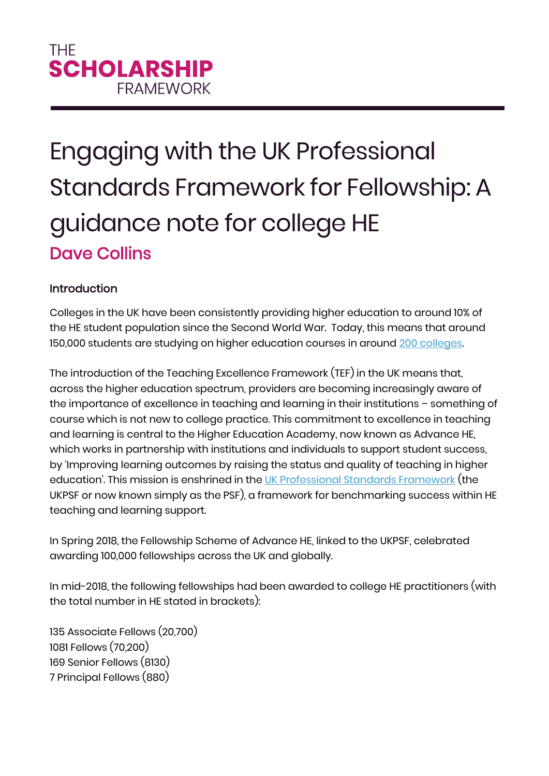# Engaging with the UK Professional Standards Framework for Fellowship: A guidance note for college HE Dave Collins

## Introduction

Colleges in the UK have been consistently providing higher education to around 10% of the HE student population since the Second World War. Today, this means that around 150,000 students are studying on higher education courses in around [200 colleges.](https://www.aoc.co.uk/sites/default/files/Key%20Facts%202017-18_1.pdf) 

The introduction of the Teaching Excellence Framework (TEF) in the UK means that, across the higher education spectrum, providers are becoming increasingly aware of the importance of excellence in teaching and learning in their institutions – something of course which is not new to college practice. This commitment to excellence in teaching and learning is central to the Higher Education Academy, now known as Advance HE, which works in partnership with institutions and individuals to support student success, by 'Improving learning outcomes by raising the status and quality of teaching in higher education'. This mission is enshrined in the [UK Professional Standards Framework](https://www.heacademy.ac.uk/ukpsf) (the UKPSF or now known simply as the PSF), a framework for benchmarking success within HE teaching and learning support.

In Spring 2018, the Fellowship Scheme of Advance HE, linked to the UKPSF, celebrated awarding 100,000 fellowships across the UK and globally.

In mid-2018, the following fellowships had been awarded to college HE practitioners (with the total number in HE stated in brackets):

135 Associate Fellows (20,700) 1081 Fellows (70,200) 169 Senior Fellows (8130) 7 Principal Fellows (880)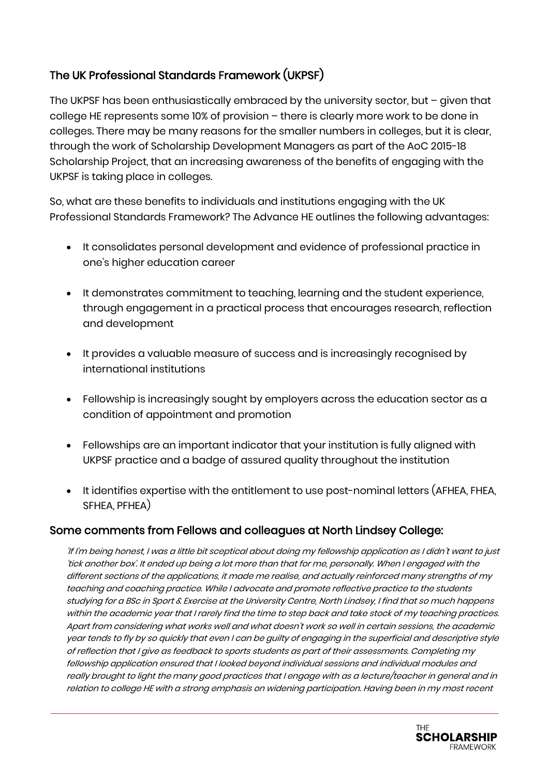## The UK Professional Standards Framework (UKPSF)

The UKPSF has been enthusiastically embraced by the university sector, but – given that college HE represents some 10% of provision – there is clearly more work to be done in colleges. There may be many reasons for the smaller numbers in colleges, but it is clear, through the work of Scholarship Development Managers as part of the AoC 2015-18 Scholarship Project, that an increasing awareness of the benefits of engaging with the UKPSF is taking place in colleges.

So, what are these benefits to individuals and institutions engaging with the UK Professional Standards Framework? The Advance HE outlines the following advantages:

- It consolidates personal development and evidence of professional practice in one's higher education career
- It demonstrates commitment to teaching, learning and the student experience, through engagement in a practical process that encourages research, reflection and development
- It provides a valuable measure of success and is increasingly recognised by international institutions
- Fellowship is increasingly sought by employers across the education sector as a condition of appointment and promotion
- Fellowships are an important indicator that your institution is fully aligned with UKPSF practice and a badge of assured quality throughout the institution
- It identifies expertise with the entitlement to use post-nominal letters (AFHEA, FHEA, SFHEA PFHEA)

## Some comments from Fellows and colleagues at North Lindsey College:

'If I'm being honest, I was a little bit sceptical about doing my fellowship application as I didn't want to just 'tick another box'. It ended up being a lot more than that for me, personally. When I engaged with the different sections of the applications, it made me realise, and actually reinforced many strengths of my teaching and coaching practice. While I advocate and promote reflective practice to the students studying for a BSc in Sport & Exercise at the University Centre, North Lindsey, I find that so much happens within the academic year that I rarely find the time to step back and take stock of my teaching practices. Apart from considering what works well and what doesn't work so well in certain sessions, the academic year tends to fly by so quickly that even I can be guilty of engaging in the superficial and descriptive style of reflection that I give as feedback to sports students as part of their assessments. Completing my fellowship application ensured that I looked beyond individual sessions and individual modules and really brought to light the many good practices that I engage with as a lecture/teacher in general and in relation to college HE with a strong emphasis on widening participation. Having been in my most recent

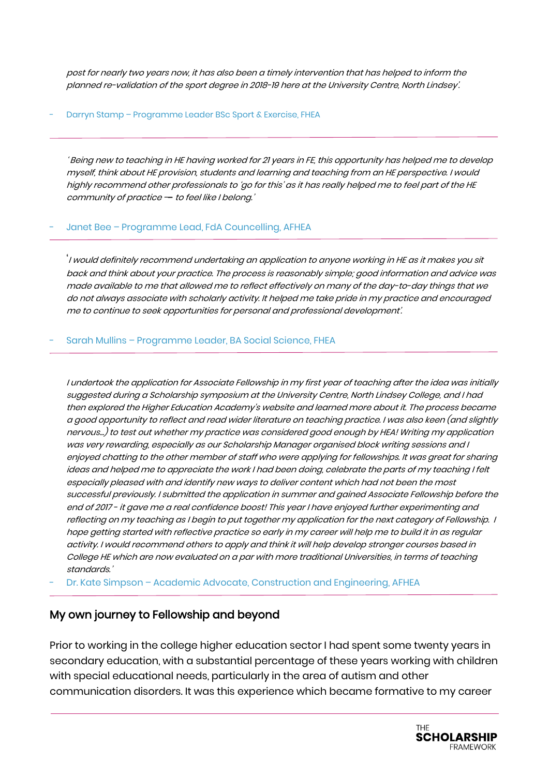post for nearly two years now, it has also been a timely intervention that has helped to inform the planned re-validation of the sport degree in 2018-19 here at the University Centre, North Lindsey'.

#### Darryn Stamp - Programme Leader BSc Sport & Exercise, FHEA

' Being new to teaching in HE having worked for 21 years in FE, this opportunity has helped me to develop myself, think about HE provision, students and learning and teaching from an HE perspective. I would highly recommend other professionals to 'go for this' as it has really helped me to feel part of the HE community of practice - to feel like I belong.'

#### Janet Bee - Programme Lead, FdA Councelling, AFHEA

'I would definitely recommend undertaking an application to anyone working in HE as it makes you sit back and think about your practice. The process is reasonably simple; good information and advice was made available to me that allowed me to reflect effectively on many of the day-to-day things that we do not always associate with scholarly activity. It helped me take pride in my practice and encouraged me to continue to seek opportunities for personal and professional development'.

#### - Sarah Mullins – Programme Leader, BA Social Science, FHEA

I undertook the application for Associate Fellowship in my first year of teaching after the idea was initially suggested during a Scholarship symposium at the University Centre, North Lindsey College, and I had then explored the Higher Education Academy's website and learned more about it. The process became a good opportunity to reflect and read wider literature on teaching practice. I was also keen (and slightly nervous...) to test out whether my practice was considered good enough by HEA! Writing my application was very rewarding, especially as our Scholarship Manager organised block writing sessions and I enjoyed chatting to the other member of staff who were applying for fellowships. It was great for sharing ideas and helped me to appreciate the work I had been doing, celebrate the parts of my teaching I felt especially pleased with and identify new ways to deliver content which had not been the most successful previously. I submitted the application in summer and gained Associate Fellowship before the end of 2017 - it gave me a real confidence boost! This year I have enjoyed further experimenting and reflecting on my teaching as I begin to put together my application for the next category of Fellowship. I hope getting started with reflective practice so early in my career will help me to build it in as regular activity. I would recommend others to apply and think it will help develop stronger courses based in College HE which are now evaluated on a par with more traditional Universities, in terms of teaching standards.'

Dr. Kate Simpson – Academic Advocate, Construction and Engineering, AFHEA

### My own journey to Fellowship and beyond

Prior to working in the college higher education sector I had spent some twenty years in secondary education, with a substantial percentage of these years working with children with special educational needs, particularly in the area of autism and other communication disorders. It was this experience which became formative to my career